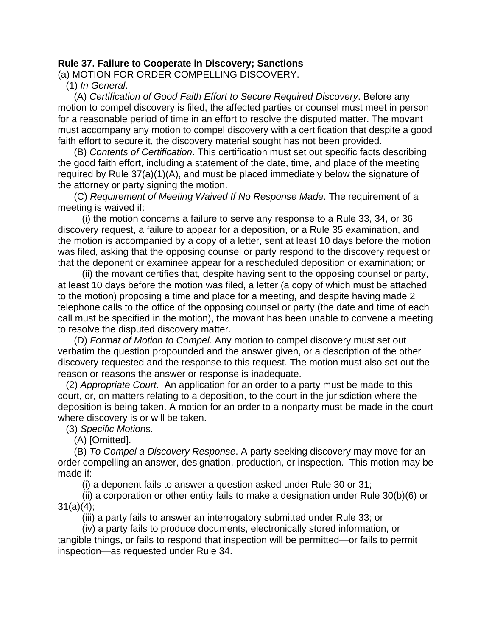## **Rule 37. Failure to Cooperate in Discovery; Sanctions**

(a) MOTION FOR ORDER COMPELLING DISCOVERY.

(1) *In General*.

 (A) *Certification of Good Faith Effort to Secure Required Discovery*. Before any motion to compel discovery is filed, the affected parties or counsel must meet in person for a reasonable period of time in an effort to resolve the disputed matter. The movant must accompany any motion to compel discovery with a certification that despite a good faith effort to secure it, the discovery material sought has not been provided.

 (B) *Contents of Certification*. This certification must set out specific facts describing the good faith effort, including a statement of the date, time, and place of the meeting required by Rule 37(a)(1)(A), and must be placed immediately below the signature of the attorney or party signing the motion.

 (C) *Requirement of Meeting Waived If No Response Made*. The requirement of a meeting is waived if:

 (i) the motion concerns a failure to serve any response to a Rule 33, 34, or 36 discovery request, a failure to appear for a deposition, or a Rule 35 examination, and the motion is accompanied by a copy of a letter, sent at least 10 days before the motion was filed, asking that the opposing counsel or party respond to the discovery request or that the deponent or examinee appear for a rescheduled deposition or examination; or

 (ii) the movant certifies that, despite having sent to the opposing counsel or party, at least 10 days before the motion was filed, a letter (a copy of which must be attached to the motion) proposing a time and place for a meeting, and despite having made 2 telephone calls to the office of the opposing counsel or party (the date and time of each call must be specified in the motion), the movant has been unable to convene a meeting to resolve the disputed discovery matter.

 (D) *Format of Motion to Compel.* Any motion to compel discovery must set out verbatim the question propounded and the answer given, or a description of the other discovery requested and the response to this request. The motion must also set out the reason or reasons the answer or response is inadequate.

 (2) *Appropriate Court*. An application for an order to a party must be made to this court, or, on matters relating to a deposition, to the court in the jurisdiction where the deposition is being taken. A motion for an order to a nonparty must be made in the court where discovery is or will be taken.

(3) *Specific Motion*s.

(A) [Omitted].

 (B) *To Compel a Discovery Response*. A party seeking discovery may move for an order compelling an answer, designation, production, or inspection. This motion may be made if:

(i) a deponent fails to answer a question asked under Rule 30 or 31;

 (ii) a corporation or other entity fails to make a designation under Rule 30(b)(6) or  $31(a)(4)$ ;

(iii) a party fails to answer an interrogatory submitted under Rule 33; or

 (iv) a party fails to produce documents, electronically stored information, or tangible things, or fails to respond that inspection will be permitted—or fails to permit inspection—as requested under Rule 34.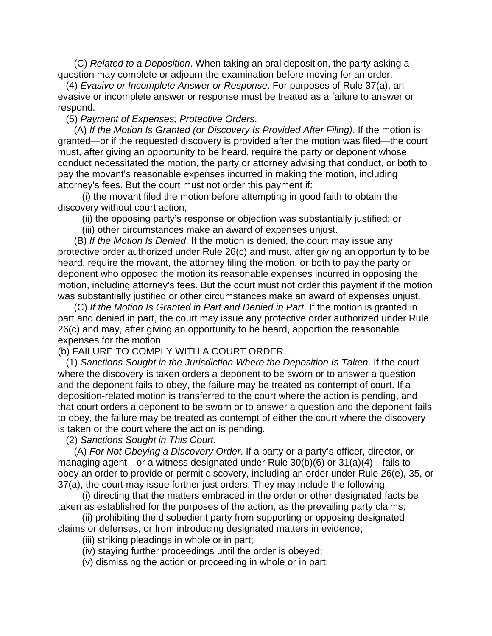(C) *Related to a Deposition*. When taking an oral deposition, the party asking a question may complete or adjourn the examination before moving for an order.

 (4) *Evasive or Incomplete Answer or Response*. For purposes of Rule 37(a), an evasive or incomplete answer or response must be treated as a failure to answer or respond.

(5) *Payment of Expenses; Protective Orders*.

 (A) *If the Motion Is Granted (or Discovery Is Provided After Filing)*. If the motion is granted—or if the requested discovery is provided after the motion was filed—the court must, after giving an opportunity to be heard, require the party or deponent whose conduct necessitated the motion, the party or attorney advising that conduct, or both to pay the movant's reasonable expenses incurred in making the motion, including attorney's fees. But the court must not order this payment if:

 (i) the movant filed the motion before attempting in good faith to obtain the discovery without court action;

(ii) the opposing party's response or objection was substantially justified; or

(iii) other circumstances make an award of expenses unjust.

 (B) *If the Motion Is Denied*. If the motion is denied, the court may issue any protective order authorized under Rule 26(c) and must, after giving an opportunity to be heard, require the movant, the attorney filing the motion, or both to pay the party or deponent who opposed the motion its reasonable expenses incurred in opposing the motion, including attorney's fees. But the court must not order this payment if the motion was substantially justified or other circumstances make an award of expenses unjust.

 (C) *If the Motion Is Granted in Part and Denied in Part*. If the motion is granted in part and denied in part, the court may issue any protective order authorized under Rule 26(c) and may, after giving an opportunity to be heard, apportion the reasonable expenses for the motion.

## (b) FAILURE TO COMPLY WITH A COURT ORDER.

 (1) *Sanctions Sought in the Jurisdiction Where the Deposition Is Taken*. If the court where the discovery is taken orders a deponent to be sworn or to answer a question and the deponent fails to obey, the failure may be treated as contempt of court. If a deposition-related motion is transferred to the court where the action is pending, and that court orders a deponent to be sworn or to answer a question and the deponent fails to obey, the failure may be treated as contempt of either the court where the discovery is taken or the court where the action is pending.

(2) *Sanctions Sought in This Court*.

 (A) *For Not Obeying a Discovery Order*. If a party or a party's officer, director, or managing agent—or a witness designated under Rule 30(b)(6) or 31(a)(4)—fails to obey an order to provide or permit discovery, including an order under Rule 26(e), 35, or 37(a), the court may issue further just orders. They may include the following:

 (i) directing that the matters embraced in the order or other designated facts be taken as established for the purposes of the action, as the prevailing party claims;

 (ii) prohibiting the disobedient party from supporting or opposing designated claims or defenses, or from introducing designated matters in evidence;

(iii) striking pleadings in whole or in part;

(iv) staying further proceedings until the order is obeyed;

(v) dismissing the action or proceeding in whole or in part;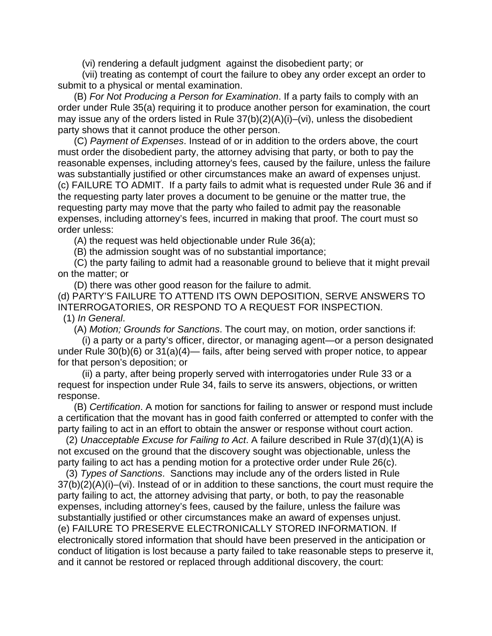(vi) rendering a default judgment against the disobedient party; or

 (vii) treating as contempt of court the failure to obey any order except an order to submit to a physical or mental examination.

 (B) *For Not Producing a Person for Examination*. If a party fails to comply with an order under Rule 35(a) requiring it to produce another person for examination, the court may issue any of the orders listed in Rule 37(b)(2)(A)(i)–(vi), unless the disobedient party shows that it cannot produce the other person.

 (C) *Payment of Expenses*. Instead of or in addition to the orders above, the court must order the disobedient party, the attorney advising that party, or both to pay the reasonable expenses, including attorney's fees, caused by the failure, unless the failure was substantially justified or other circumstances make an award of expenses unjust. (c) FAILURE TO ADMIT. If a party fails to admit what is requested under Rule 36 and if the requesting party later proves a document to be genuine or the matter true, the requesting party may move that the party who failed to admit pay the reasonable expenses, including attorney's fees, incurred in making that proof. The court must so order unless:

(A) the request was held objectionable under Rule 36(a);

(B) the admission sought was of no substantial importance;

 (C) the party failing to admit had a reasonable ground to believe that it might prevail on the matter; or

(D) there was other good reason for the failure to admit.

(d) PARTY'S FAILURE TO ATTEND ITS OWN DEPOSITION, SERVE ANSWERS TO INTERROGATORIES, OR RESPOND TO A REQUEST FOR INSPECTION.

(1) *In General*.

(A) *Motion; Grounds for Sanctions*. The court may, on motion, order sanctions if:

 (i) a party or a party's officer, director, or managing agent—or a person designated under Rule 30(b)(6) or 31(a)(4)— fails, after being served with proper notice, to appear for that person's deposition; or

 (ii) a party, after being properly served with interrogatories under Rule 33 or a request for inspection under Rule 34, fails to serve its answers, objections, or written response.

 (B) *Certification*. A motion for sanctions for failing to answer or respond must include a certification that the movant has in good faith conferred or attempted to confer with the party failing to act in an effort to obtain the answer or response without court action.

 (2) *Unacceptable Excuse for Failing to Act*. A failure described in Rule 37(d)(1)(A) is not excused on the ground that the discovery sought was objectionable, unless the party failing to act has a pending motion for a protective order under Rule 26(c).

 (3) *Types of Sanctions*. Sanctions may include any of the orders listed in Rule 37(b)(2)(A)(i)–(vi). Instead of or in addition to these sanctions, the court must require the party failing to act, the attorney advising that party, or both, to pay the reasonable expenses, including attorney's fees, caused by the failure, unless the failure was substantially justified or other circumstances make an award of expenses unjust. (e) FAILURE TO PRESERVE ELECTRONICALLY STORED INFORMATION. If electronically stored information that should have been preserved in the anticipation or conduct of litigation is lost because a party failed to take reasonable steps to preserve it, and it cannot be restored or replaced through additional discovery, the court: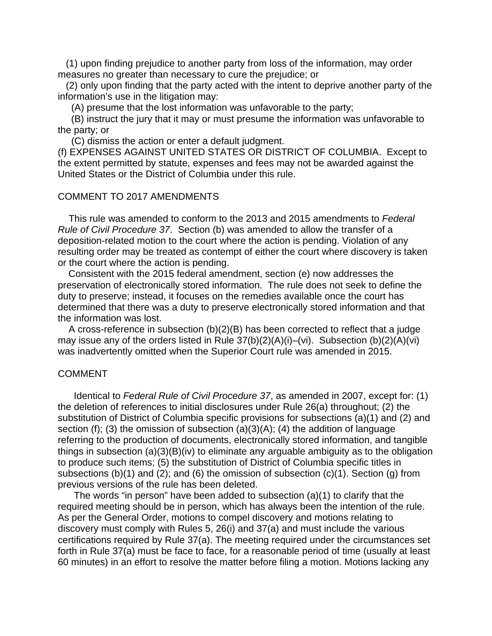(1) upon finding prejudice to another party from loss of the information, may order measures no greater than necessary to cure the prejudice; or

 (2) only upon finding that the party acted with the intent to deprive another party of the information's use in the litigation may:

(A) presume that the lost information was unfavorable to the party;

 (B) instruct the jury that it may or must presume the information was unfavorable to the party; or

(C) dismiss the action or enter a default judgment.

(f) EXPENSES AGAINST UNITED STATES OR DISTRICT OF COLUMBIA. Except to the extent permitted by statute, expenses and fees may not be awarded against the United States or the District of Columbia under this rule.

## COMMENT TO 2017 AMENDMENTS

 This rule was amended to conform to the 2013 and 2015 amendments to *Federal Rule of Civil Procedure 37*. Section (b) was amended to allow the transfer of a deposition-related motion to the court where the action is pending. Violation of any resulting order may be treated as contempt of either the court where discovery is taken or the court where the action is pending.

 Consistent with the 2015 federal amendment, section (e) now addresses the preservation of electronically stored information. The rule does not seek to define the duty to preserve; instead, it focuses on the remedies available once the court has determined that there was a duty to preserve electronically stored information and that the information was lost.

 A cross-reference in subsection (b)(2)(B) has been corrected to reflect that a judge may issue any of the orders listed in Rule 37(b)(2)(A)(i)–(vi). Subsection (b)(2)(A)(vi) was inadvertently omitted when the Superior Court rule was amended in 2015.

## COMMENT

 Identical to *Federal Rule of Civil Procedure 37*, as amended in 2007, except for: (1) the deletion of references to initial disclosures under Rule 26(a) throughout; (2) the substitution of District of Columbia specific provisions for subsections (a)(1) and (2) and section (f); (3) the omission of subsection (a)(3)(A); (4) the addition of language referring to the production of documents, electronically stored information, and tangible things in subsection (a)(3)(B)(iv) to eliminate any arguable ambiguity as to the obligation to produce such items; (5) the substitution of District of Columbia specific titles in subsections (b)(1) and (2); and (6) the omission of subsection  $(c)(1)$ . Section (g) from previous versions of the rule has been deleted.

 The words "in person" have been added to subsection (a)(1) to clarify that the required meeting should be in person, which has always been the intention of the rule. As per the General Order, motions to compel discovery and motions relating to discovery must comply with Rules 5, 26(i) and 37(a) and must include the various certifications required by Rule 37(a). The meeting required under the circumstances set forth in Rule 37(a) must be face to face, for a reasonable period of time (usually at least 60 minutes) in an effort to resolve the matter before filing a motion. Motions lacking any